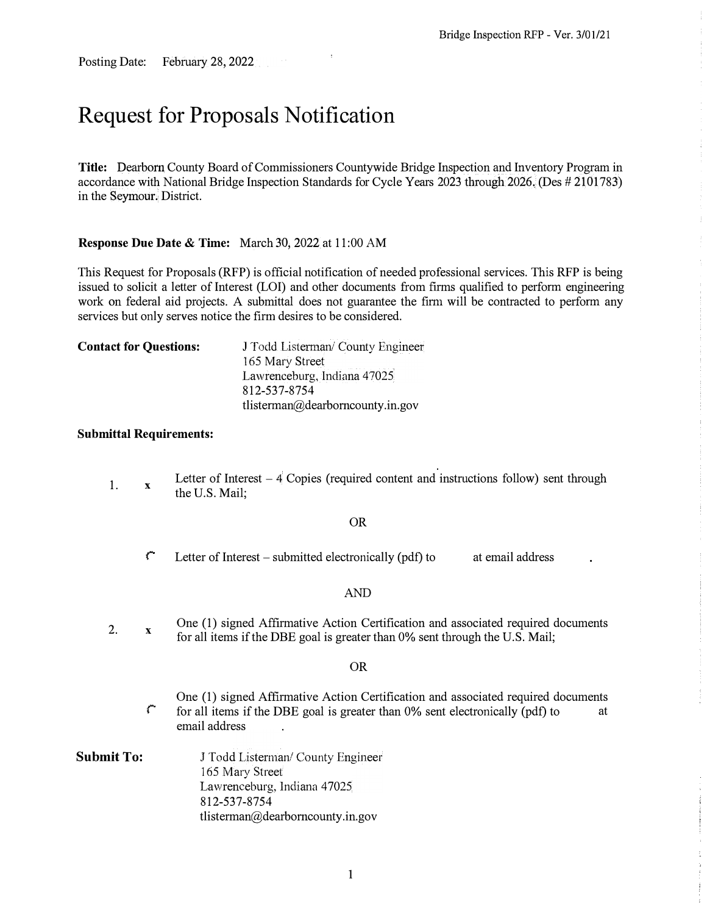Posting Date: February 28, 2022

# **Request for Proposals Notification**

**Title:** Dearborn County Board of Commissioners Countywide Bridge Inspection and Inventory Program in accordance with National Bridge Inspection Standards for Cycle Years 2023 through 2026. (Des # 2101783) in the Seymour. District.

### **Response Due Date & Time:** March 30, 2022 at 11 :00 AM

This Request for Proposals (RFP) is official notification of needed professional services. This RFP is being issued to solicit a letter of Interest (LOI) and other documents from firms qualified to perform engineering work on federal aid projects. A submittal does not guarantee the firm will be contracted to perform any services but only serves notice the firm desires to be considered.

| <b>Contact for Questions:</b> | J Todd Listerman/ County Engineer<br>165 Mary Street |  |
|-------------------------------|------------------------------------------------------|--|
|                               | Lawrenceburg, Indiana 47025<br>812-537-8754          |  |
|                               | tlisterman@dearborncounty.in.gov                     |  |

### **Submittal Requirements:**

1. **X**  Letter of Interest  $-4$  Copies (required content and instructions follow) sent through the U.S. Mail;

### OR

 $\ddot{\mathbf{r}}$  Letter of Interest – submitted electronically (pdf) to at email address

### AND

2. **X**  One (1) signed Affirmative Action Certification and associated required documents for all items if the DBE goal is greater than 0% sent through the U.S. Mail;

### OR

- One (1) signed Affirmative Action Certification and associated required documents  $\Gamma$  for all items if the DBE goal is greater than 0% sent electronically (pdf) to at email address
- **Submit To:** J Todd Listerman/ County Engineer 165 Mary Street Lawrenceburg, Indiana 47025 812-537-8754 tlisterman@dearbomcounty.in.gov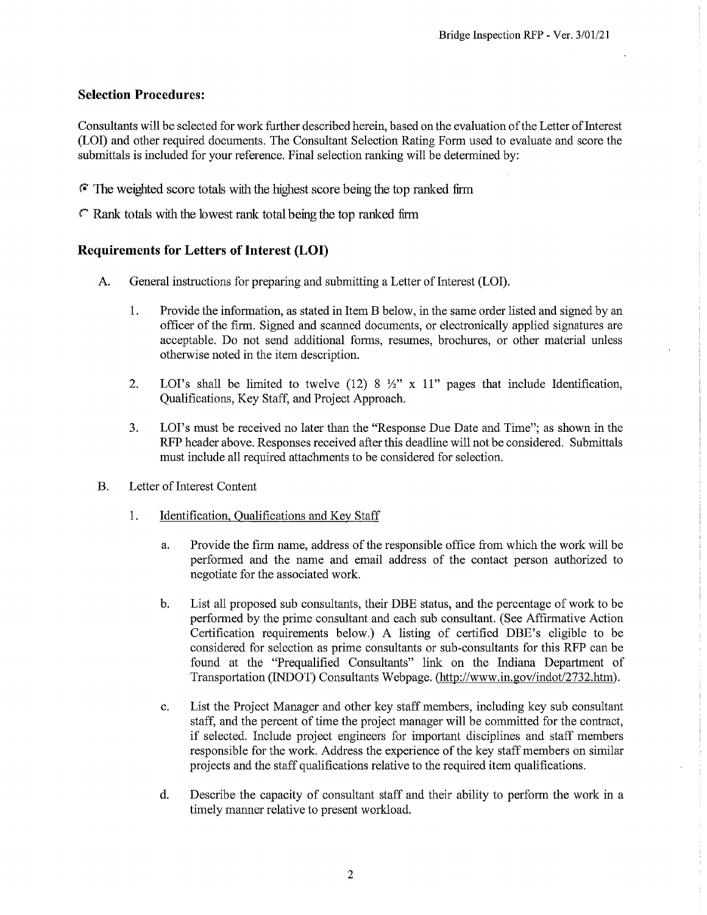# **Selection Procedures:**

Consultants will be selected for work further described herein, based on the evaluation of the Letter of Interest (LOI) and other required documents. The Consultant Selection Rating Form used to evaluate and score the submittals is included for your reference. Final selection ranking will be determined by:

- The weighted score totals with the highest score being the top ranked firm
- $\Gamma$  Rank totals with the lowest rank total being the top ranked firm

# **Requirements for Letters of Interest (LOI)**

- A. General instructions for preparing and submitting a Letter of Interest (LOI).
	- 1. Provide the information, as stated in Item B below, in the same order listed and signed by an officer of the firm. Signed and scanned documents, or electronically applied signatures are acceptable. Do not send additional forms, resumes, brochures, or other material unless otherwise noted in the item description.
	- LOI's shall be limited to twelve (12) 8  $\frac{1}{2}$ " x 11" pages that include Identification,  $2.$ Qualifications, Key Staff, and Project Approach.
	- $3.$ LOI's must be received no later than the "Response Due Date and Time"; as shown in the RFP header above. Responses received after this deadline will not be considered. Submittals must include all required attachments to be considered for selection.
- $\mathbf{B}$ . Letter of Interest Content
	- 1. Identification, Qualifications and Key Staff
		- Provide the firm name, address of the responsible office from which the work will be a. performed and the name and email address of the contact person authorized to negotiate for the associated work.
		- $\mathbf{b}$ . List all proposed sub consultants, their DBE status, and the percentage of work to be performed by the prime consultant and each sub consultant. (See Affirmative Action Certification requirements below.) A listing of certified DBE's eligible to be considered for selection as prime consultants or sub-consultants for this RFP can be found at the "Prequalified Consultants" link on the Indiana Department of Transportation (INDOT) Consultants Webpage. (http://www.in.gov/indot/2732.htm).
		- List the Project Manager and other key staff members, including key sub consultant c. staff, and the percent of time the project manager will be committed for the contract, if selected. Include project engineers for important disciplines and staff members responsible for the work. Address the experience of the key staff members on similar projects and the staff qualifications relative to the required item qualifications.
		- Describe the capacity of consultant staff and their ability to perform the work in a d. timely manner relative to present workload.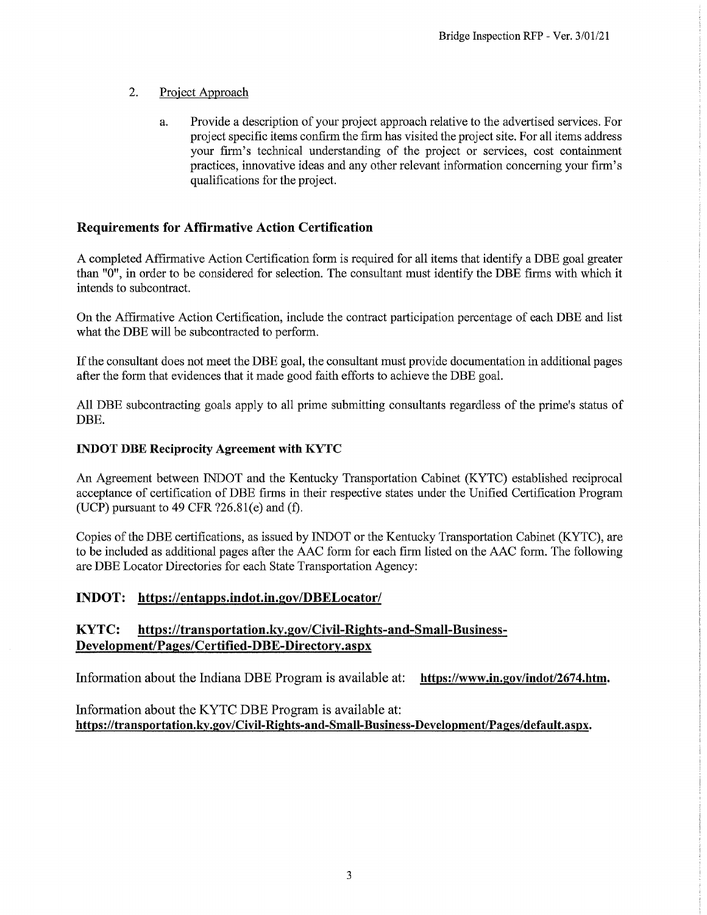#### $2.$ Project Approach

Provide a description of your project approach relative to the advertised services. For a. project specific items confirm the firm has visited the project site. For all items address your firm's technical understanding of the project or services, cost containment practices, innovative ideas and any other relevant information concerning your firm's qualifications for the project.

# **Requirements for Affirmative Action Certification**

A completed Affirmative Action Certification form is required for all items that identify a DBE goal greater than "0", in order to be considered for selection. The consultant must identify the DBE firms with which it intends to subcontract.

On the Affirmative Action Certification, include the contract participation percentage of each DBE and list what the DBE will be subcontracted to perform.

If the consultant does not meet the DBE goal, the consultant must provide documentation in additional pages after the form that evidences that it made good faith efforts to achieve the DBE goal.

All DBE subcontracting goals apply to all prime submitting consultants regardless of the prime's status of DBE.

### **INDOT DBE Reciprocity Agreement with KYTC**

An Agreement between INDOT and the Kentucky Transportation Cabinet (KYTC) established reciprocal acceptance of certification of DBE firms in their respective states under the Unified Certification Program (UCP) pursuant to 49 CFR  $?26.81(e)$  and (f).

Copies of the DBE certifications, as issued by INDOT or the Kentucky Transportation Cabinet (KYTC), are to be included as additional pages after the AAC form for each firm listed on the AAC form. The following are DBE Locator Directories for each State Transportation Agency:

# **INDOT:** https://entapps.indot.in.gov/DBELocator/

### KYTC: https://transportation.ky.gov/Civil-Rights-and-Small-Business-Development/Pages/Certified-DBE-Directory.aspx

Information about the Indiana DBE Program is available at: https://www.in.gov/indot/2674.htm.

Information about the KYTC DBE Program is available at: https://transportation.ky.gov/Civil-Rights-and-Small-Business-Development/Pages/default.aspx.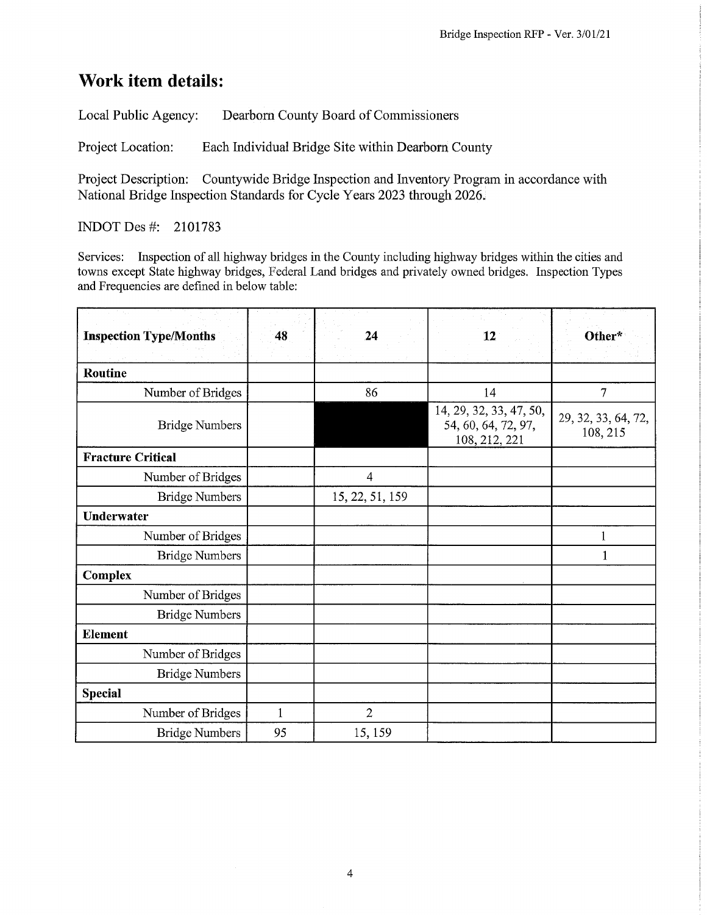# **Work item details:**

Local Public Agency: Dearborn County Board of Commissioners

Project Location: Each Individual Bridge Site within Dearborn County

Project Description: Countywide Bridge Inspection and Inventory Program in accordance with National Bridge Inspection Standards for Cycle Years 2023 through 2026.

INDOT Des #: 2101783

Services: Inspection of all highway bridges in the County including highway bridges within the cities and towns except State highway bridges, Federal Land bridges and privately owned bridges. Inspection Types and Frequencies are defined in below table:

| <b>Inspection Type/Months</b> | 48           | 24              | 12                                                              | Other*                          |
|-------------------------------|--------------|-----------------|-----------------------------------------------------------------|---------------------------------|
|                               |              |                 |                                                                 |                                 |
| Routine                       |              |                 |                                                                 |                                 |
| Number of Bridges             |              | 86              | 14                                                              | $\overline{7}$                  |
| <b>Bridge Numbers</b>         |              |                 | 14, 29, 32, 33, 47, 50,<br>54, 60, 64, 72, 97,<br>108, 212, 221 | 29, 32, 33, 64, 72,<br>108, 215 |
| <b>Fracture Critical</b>      |              |                 |                                                                 |                                 |
| Number of Bridges             |              | $\overline{4}$  |                                                                 |                                 |
| <b>Bridge Numbers</b>         |              | 15, 22, 51, 159 |                                                                 |                                 |
| <b>Underwater</b>             |              |                 |                                                                 |                                 |
| Number of Bridges             |              |                 |                                                                 | 1                               |
| <b>Bridge Numbers</b>         |              |                 |                                                                 | 1                               |
| <b>Complex</b>                |              |                 |                                                                 |                                 |
| Number of Bridges             |              |                 |                                                                 |                                 |
| <b>Bridge Numbers</b>         |              |                 |                                                                 |                                 |
| Element                       |              |                 |                                                                 |                                 |
| Number of Bridges             |              |                 |                                                                 |                                 |
| <b>Bridge Numbers</b>         |              |                 |                                                                 |                                 |
| <b>Special</b>                |              |                 |                                                                 |                                 |
| Number of Bridges             | $\mathbf{1}$ | $\overline{2}$  |                                                                 |                                 |
| <b>Bridge Numbers</b>         | 95           | 15, 159         |                                                                 |                                 |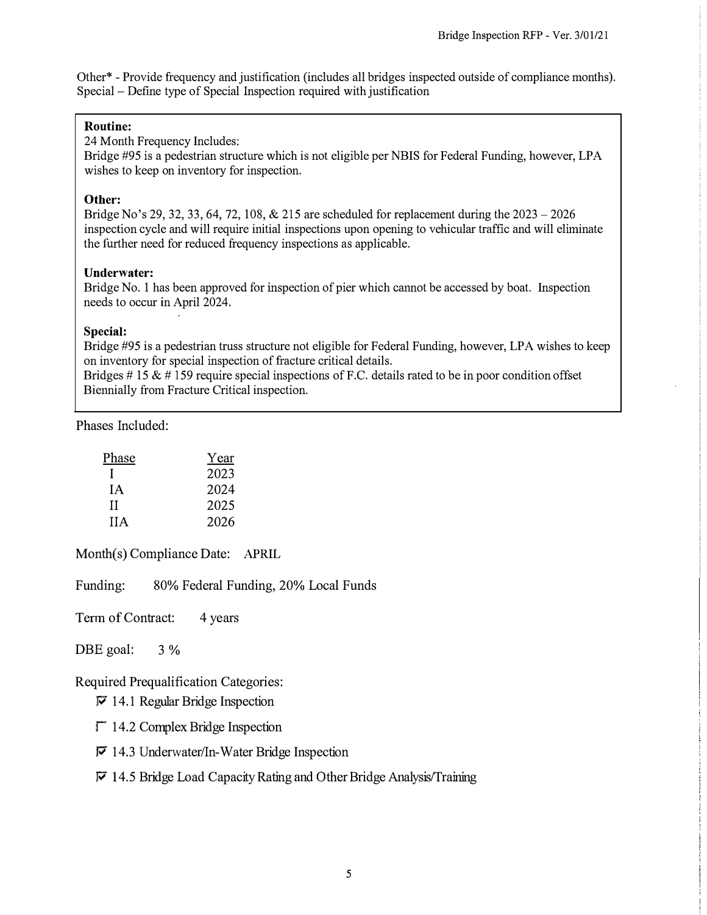Other\* - Provide frequency and justification (includes all bridges inspected outside of compliance months). Special - Define type of Special Inspection required with justification

### **Routine:**

24 Month Frequency Includes:

Bridge #95 is a pedestrian structure which is not eligible per NBIS for Federal Funding, however, LPA wishes to keep on inventory for inspection.

### **Other:**

Bridge No's 29, 32, 33, 64, 72, 108, & 215 are scheduled for replacement during the  $2023 - 2026$ inspection cycle and will require initial inspections upon opening to vehicular traffic and will eliminate the further need for reduced frequency inspections as applicable.

### **Underwater:**

Bridge No. 1 has been approved for inspection of pier which cannot be accessed by boat. Inspection needs to occur in April 2024.

### **Special:**

Bridge #95 is a pedestrian truss structure not eligible for Federal Funding, however, LPA wishes to keep on inventory for special inspection of fracture critical details.

Bridges  $# 15 \& # 159$  require special inspections of F.C. details rated to be in poor condition offset Biennially from Fracture Critical inspection.

Phases Included:

| Phase      | Year |
|------------|------|
|            | 2023 |
| ĪА         | 2024 |
| Н          | 2025 |
| <b>IIA</b> | 2026 |

Month(s) Compliance Date: APRIL

Funding: 80% Federal Funding, 20% Local Funds

Term of Contract: 4 years

DBE goal:  $3\%$ 

Required Prequalification Categories:

 $\nabla$  14.1 Regular Bridge Inspection

 $\Gamma$  14.2 Complex Bridge Inspection

 $\nabla$  14.3 Underwater/In-Water Bridge Inspection

### $\nabla$  14.5 Bridge Load Capacity Rating and Other Bridge Analysis/Training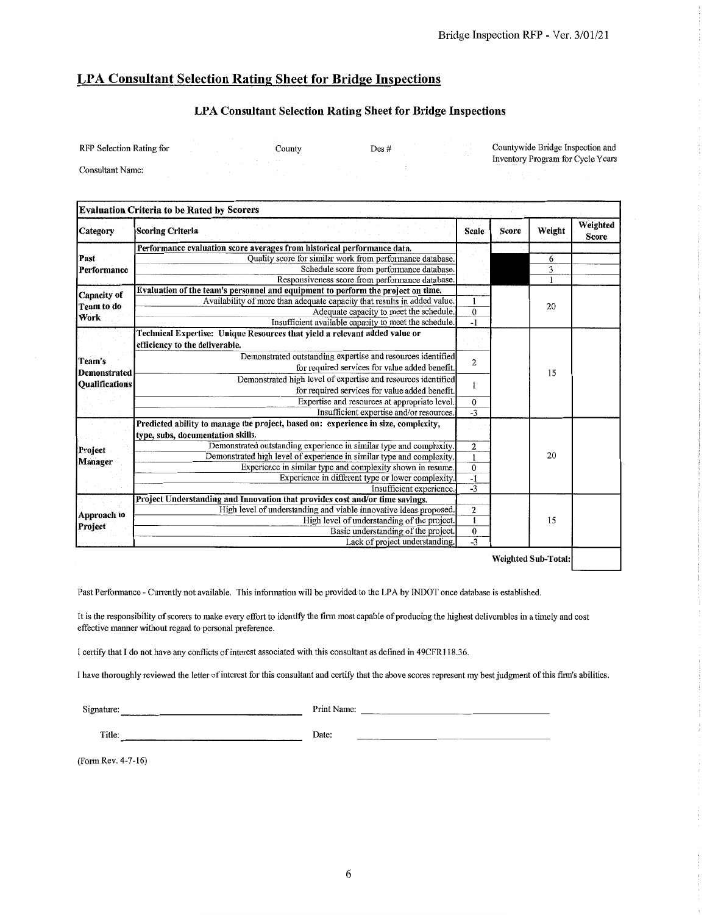### **LPA Consultant Selection Rating Sheet for Bridge Inspections**

### **LPA Consultant Selection Rating Sheet for Bridge Inspections**

Countywide Bridge Inspection and **RFP Selection Rating for** County Des # Inventory Program for Cycle Years Consultant Name:

| Weight<br>Score<br><b>Scoring Criteria</b><br><b>Scale</b><br>Category<br>Performance evaluation score averages from historical performance data.<br>Quality score for similar work from performance database.<br>Past<br>6<br>Schedule score from performance database.<br>$\overline{\mathbf{3}}$<br>Performance<br>Responsiveness score from performance database.<br>Evaluation of the team's personnel and equipment to perform the project on time.<br>Capacity of<br>Availability of more than adequate capacity that results in added value.<br>$\mathbf{1}$<br>20<br>Team to do<br>$\overline{0}$<br>Adequate capacity to meet the schedule.<br>Work<br>Insufficient available capacity to meet the schedule.<br>$-1$<br>Technical Expertise: Unique Resources that yield a relevant added value or<br>efficiency to the deliverable.<br>Demonstrated outstanding expertise and resources identified<br>Team's<br>$\overline{2}$<br>for required services for value added benefit.<br>15<br><b>Demonstrated</b><br>Demonstrated high level of expertise and resources identified<br><b>Oualifications</b><br>1<br>for required services for value added benefit.<br>Expertise and resources at appropriate level.<br>$\mathbf 0$<br>$\overline{-3}$<br>Insufficient expertise and/or resources.<br>Predicted ability to manage the project, based on: experience in size, complexity,<br>type, subs, documentation skills.<br>Demonstrated outstanding experience in similar type and complexity.<br>$\overline{2}$<br>20<br>Demonstrated high level of experience in similar type and complexity.<br>$\mathbf{1}$<br>$\overline{0}$<br>Experience in similar type and complexity shown in resume.<br>$-1$<br>Experience in different type or lower complexity.<br>$-3$<br>Insufficient experience.<br>Project Understanding and Innovation that provides cost and/or time savings.<br>High level of understanding and viable innovative ideas proposed.<br>$\boldsymbol{2}$<br>Approach to<br>$\overline{1}$<br>High level of understanding of the project.<br>15<br>$\boldsymbol{0}$<br>Basic understanding of the project.<br>$-3$ |  | <b>Evaluation Criteria to be Rated by Scorers</b> |  |  |                          |
|------------------------------------------------------------------------------------------------------------------------------------------------------------------------------------------------------------------------------------------------------------------------------------------------------------------------------------------------------------------------------------------------------------------------------------------------------------------------------------------------------------------------------------------------------------------------------------------------------------------------------------------------------------------------------------------------------------------------------------------------------------------------------------------------------------------------------------------------------------------------------------------------------------------------------------------------------------------------------------------------------------------------------------------------------------------------------------------------------------------------------------------------------------------------------------------------------------------------------------------------------------------------------------------------------------------------------------------------------------------------------------------------------------------------------------------------------------------------------------------------------------------------------------------------------------------------------------------------------------------------------------------------------------------------------------------------------------------------------------------------------------------------------------------------------------------------------------------------------------------------------------------------------------------------------------------------------------------------------------------------------------------------------------------------------------------------------------------------------------------------------------------------|--|---------------------------------------------------|--|--|--------------------------|
|                                                                                                                                                                                                                                                                                                                                                                                                                                                                                                                                                                                                                                                                                                                                                                                                                                                                                                                                                                                                                                                                                                                                                                                                                                                                                                                                                                                                                                                                                                                                                                                                                                                                                                                                                                                                                                                                                                                                                                                                                                                                                                                                                |  |                                                   |  |  | Weighted<br><b>Score</b> |
|                                                                                                                                                                                                                                                                                                                                                                                                                                                                                                                                                                                                                                                                                                                                                                                                                                                                                                                                                                                                                                                                                                                                                                                                                                                                                                                                                                                                                                                                                                                                                                                                                                                                                                                                                                                                                                                                                                                                                                                                                                                                                                                                                |  |                                                   |  |  |                          |
|                                                                                                                                                                                                                                                                                                                                                                                                                                                                                                                                                                                                                                                                                                                                                                                                                                                                                                                                                                                                                                                                                                                                                                                                                                                                                                                                                                                                                                                                                                                                                                                                                                                                                                                                                                                                                                                                                                                                                                                                                                                                                                                                                |  |                                                   |  |  |                          |
|                                                                                                                                                                                                                                                                                                                                                                                                                                                                                                                                                                                                                                                                                                                                                                                                                                                                                                                                                                                                                                                                                                                                                                                                                                                                                                                                                                                                                                                                                                                                                                                                                                                                                                                                                                                                                                                                                                                                                                                                                                                                                                                                                |  |                                                   |  |  |                          |
|                                                                                                                                                                                                                                                                                                                                                                                                                                                                                                                                                                                                                                                                                                                                                                                                                                                                                                                                                                                                                                                                                                                                                                                                                                                                                                                                                                                                                                                                                                                                                                                                                                                                                                                                                                                                                                                                                                                                                                                                                                                                                                                                                |  |                                                   |  |  |                          |
|                                                                                                                                                                                                                                                                                                                                                                                                                                                                                                                                                                                                                                                                                                                                                                                                                                                                                                                                                                                                                                                                                                                                                                                                                                                                                                                                                                                                                                                                                                                                                                                                                                                                                                                                                                                                                                                                                                                                                                                                                                                                                                                                                |  |                                                   |  |  |                          |
|                                                                                                                                                                                                                                                                                                                                                                                                                                                                                                                                                                                                                                                                                                                                                                                                                                                                                                                                                                                                                                                                                                                                                                                                                                                                                                                                                                                                                                                                                                                                                                                                                                                                                                                                                                                                                                                                                                                                                                                                                                                                                                                                                |  |                                                   |  |  |                          |
|                                                                                                                                                                                                                                                                                                                                                                                                                                                                                                                                                                                                                                                                                                                                                                                                                                                                                                                                                                                                                                                                                                                                                                                                                                                                                                                                                                                                                                                                                                                                                                                                                                                                                                                                                                                                                                                                                                                                                                                                                                                                                                                                                |  |                                                   |  |  |                          |
|                                                                                                                                                                                                                                                                                                                                                                                                                                                                                                                                                                                                                                                                                                                                                                                                                                                                                                                                                                                                                                                                                                                                                                                                                                                                                                                                                                                                                                                                                                                                                                                                                                                                                                                                                                                                                                                                                                                                                                                                                                                                                                                                                |  |                                                   |  |  |                          |
|                                                                                                                                                                                                                                                                                                                                                                                                                                                                                                                                                                                                                                                                                                                                                                                                                                                                                                                                                                                                                                                                                                                                                                                                                                                                                                                                                                                                                                                                                                                                                                                                                                                                                                                                                                                                                                                                                                                                                                                                                                                                                                                                                |  |                                                   |  |  |                          |
|                                                                                                                                                                                                                                                                                                                                                                                                                                                                                                                                                                                                                                                                                                                                                                                                                                                                                                                                                                                                                                                                                                                                                                                                                                                                                                                                                                                                                                                                                                                                                                                                                                                                                                                                                                                                                                                                                                                                                                                                                                                                                                                                                |  |                                                   |  |  |                          |
|                                                                                                                                                                                                                                                                                                                                                                                                                                                                                                                                                                                                                                                                                                                                                                                                                                                                                                                                                                                                                                                                                                                                                                                                                                                                                                                                                                                                                                                                                                                                                                                                                                                                                                                                                                                                                                                                                                                                                                                                                                                                                                                                                |  |                                                   |  |  |                          |
| <b>Manager</b><br>Project                                                                                                                                                                                                                                                                                                                                                                                                                                                                                                                                                                                                                                                                                                                                                                                                                                                                                                                                                                                                                                                                                                                                                                                                                                                                                                                                                                                                                                                                                                                                                                                                                                                                                                                                                                                                                                                                                                                                                                                                                                                                                                                      |  |                                                   |  |  |                          |
| Project                                                                                                                                                                                                                                                                                                                                                                                                                                                                                                                                                                                                                                                                                                                                                                                                                                                                                                                                                                                                                                                                                                                                                                                                                                                                                                                                                                                                                                                                                                                                                                                                                                                                                                                                                                                                                                                                                                                                                                                                                                                                                                                                        |  |                                                   |  |  |                          |
|                                                                                                                                                                                                                                                                                                                                                                                                                                                                                                                                                                                                                                                                                                                                                                                                                                                                                                                                                                                                                                                                                                                                                                                                                                                                                                                                                                                                                                                                                                                                                                                                                                                                                                                                                                                                                                                                                                                                                                                                                                                                                                                                                |  |                                                   |  |  |                          |
|                                                                                                                                                                                                                                                                                                                                                                                                                                                                                                                                                                                                                                                                                                                                                                                                                                                                                                                                                                                                                                                                                                                                                                                                                                                                                                                                                                                                                                                                                                                                                                                                                                                                                                                                                                                                                                                                                                                                                                                                                                                                                                                                                |  |                                                   |  |  |                          |
|                                                                                                                                                                                                                                                                                                                                                                                                                                                                                                                                                                                                                                                                                                                                                                                                                                                                                                                                                                                                                                                                                                                                                                                                                                                                                                                                                                                                                                                                                                                                                                                                                                                                                                                                                                                                                                                                                                                                                                                                                                                                                                                                                |  |                                                   |  |  |                          |
|                                                                                                                                                                                                                                                                                                                                                                                                                                                                                                                                                                                                                                                                                                                                                                                                                                                                                                                                                                                                                                                                                                                                                                                                                                                                                                                                                                                                                                                                                                                                                                                                                                                                                                                                                                                                                                                                                                                                                                                                                                                                                                                                                |  |                                                   |  |  |                          |
|                                                                                                                                                                                                                                                                                                                                                                                                                                                                                                                                                                                                                                                                                                                                                                                                                                                                                                                                                                                                                                                                                                                                                                                                                                                                                                                                                                                                                                                                                                                                                                                                                                                                                                                                                                                                                                                                                                                                                                                                                                                                                                                                                |  |                                                   |  |  |                          |
|                                                                                                                                                                                                                                                                                                                                                                                                                                                                                                                                                                                                                                                                                                                                                                                                                                                                                                                                                                                                                                                                                                                                                                                                                                                                                                                                                                                                                                                                                                                                                                                                                                                                                                                                                                                                                                                                                                                                                                                                                                                                                                                                                |  |                                                   |  |  |                          |
|                                                                                                                                                                                                                                                                                                                                                                                                                                                                                                                                                                                                                                                                                                                                                                                                                                                                                                                                                                                                                                                                                                                                                                                                                                                                                                                                                                                                                                                                                                                                                                                                                                                                                                                                                                                                                                                                                                                                                                                                                                                                                                                                                |  |                                                   |  |  |                          |
|                                                                                                                                                                                                                                                                                                                                                                                                                                                                                                                                                                                                                                                                                                                                                                                                                                                                                                                                                                                                                                                                                                                                                                                                                                                                                                                                                                                                                                                                                                                                                                                                                                                                                                                                                                                                                                                                                                                                                                                                                                                                                                                                                |  |                                                   |  |  |                          |
|                                                                                                                                                                                                                                                                                                                                                                                                                                                                                                                                                                                                                                                                                                                                                                                                                                                                                                                                                                                                                                                                                                                                                                                                                                                                                                                                                                                                                                                                                                                                                                                                                                                                                                                                                                                                                                                                                                                                                                                                                                                                                                                                                |  |                                                   |  |  |                          |
|                                                                                                                                                                                                                                                                                                                                                                                                                                                                                                                                                                                                                                                                                                                                                                                                                                                                                                                                                                                                                                                                                                                                                                                                                                                                                                                                                                                                                                                                                                                                                                                                                                                                                                                                                                                                                                                                                                                                                                                                                                                                                                                                                |  |                                                   |  |  |                          |
|                                                                                                                                                                                                                                                                                                                                                                                                                                                                                                                                                                                                                                                                                                                                                                                                                                                                                                                                                                                                                                                                                                                                                                                                                                                                                                                                                                                                                                                                                                                                                                                                                                                                                                                                                                                                                                                                                                                                                                                                                                                                                                                                                |  |                                                   |  |  |                          |
|                                                                                                                                                                                                                                                                                                                                                                                                                                                                                                                                                                                                                                                                                                                                                                                                                                                                                                                                                                                                                                                                                                                                                                                                                                                                                                                                                                                                                                                                                                                                                                                                                                                                                                                                                                                                                                                                                                                                                                                                                                                                                                                                                |  |                                                   |  |  |                          |
|                                                                                                                                                                                                                                                                                                                                                                                                                                                                                                                                                                                                                                                                                                                                                                                                                                                                                                                                                                                                                                                                                                                                                                                                                                                                                                                                                                                                                                                                                                                                                                                                                                                                                                                                                                                                                                                                                                                                                                                                                                                                                                                                                |  |                                                   |  |  |                          |
|                                                                                                                                                                                                                                                                                                                                                                                                                                                                                                                                                                                                                                                                                                                                                                                                                                                                                                                                                                                                                                                                                                                                                                                                                                                                                                                                                                                                                                                                                                                                                                                                                                                                                                                                                                                                                                                                                                                                                                                                                                                                                                                                                |  |                                                   |  |  |                          |
|                                                                                                                                                                                                                                                                                                                                                                                                                                                                                                                                                                                                                                                                                                                                                                                                                                                                                                                                                                                                                                                                                                                                                                                                                                                                                                                                                                                                                                                                                                                                                                                                                                                                                                                                                                                                                                                                                                                                                                                                                                                                                                                                                |  | Lack of project understanding.                    |  |  |                          |

Weighted Sub-Total:

Past Performance - Currently not available. This information will be provided to the LPA by INDOT once database is established.

It is the responsibility of scorers to make every effort to identify the firm most capable of producing the highest deliverables in a timely and cost effective manner without regard to personal preference.

I certify that I do not have any conflicts of interest associated with this consultant as defined in 49CFR118.36.

<u> 1980 - Johann Barbara, martin a</u>

I have thoroughly reviewed the letter of interest for this consultant and certify that the above scores represent my best judgment of this firm's abilities.

Signature:

Print Name:

Title:

Date:

(Form Rev. 4-7-16)